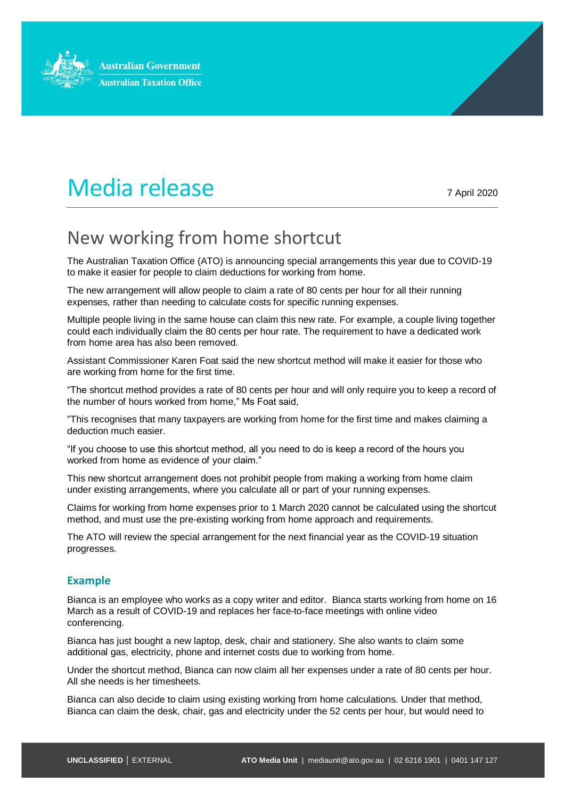

# Media release 7 April 2020

## New working from home shortcut

The Australian Taxation Office (ATO) is announcing special arrangements this year due to COVID-19 to make it easier for people to claim deductions for working from home.

The new arrangement will allow people to claim a rate of 80 cents per hour for all their running expenses, rather than needing to calculate costs for specific running expenses.

Multiple people living in the same house can claim this new rate. For example, a couple living together could each individually claim the 80 cents per hour rate. The requirement to have a dedicated work from home area has also been removed.

Assistant Commissioner Karen Foat said the new shortcut method will make it easier for those who are working from home for the first time.

"The shortcut method provides a rate of 80 cents per hour and will only require you to keep a record of the number of hours worked from home," Ms Foat said,

"This recognises that many taxpayers are working from home for the first time and makes claiming a deduction much easier.

"If you choose to use this shortcut method, all you need to do is keep a record of the hours you worked from home as evidence of your claim."

This new shortcut arrangement does not prohibit people from making a working from home claim under existing arrangements, where you calculate all or part of your running expenses.

Claims for working from home expenses prior to 1 March 2020 cannot be calculated using the shortcut method, and must use the pre-existing working from home approach and requirements.

The ATO will review the special arrangement for the next financial year as the COVID-19 situation progresses.

#### **Example**

Bianca is an employee who works as a copy writer and editor. Bianca starts working from home on 16 March as a result of COVID-19 and replaces her face-to-face meetings with online video conferencing.

Bianca has just bought a new laptop, desk, chair and stationery. She also wants to claim some additional gas, electricity, phone and internet costs due to working from home.

Under the shortcut method, Bianca can now claim all her expenses under a rate of 80 cents per hour. All she needs is her timesheets.

Bianca can also decide to claim using existing working from home calculations. Under that method, Bianca can claim the desk, chair, gas and electricity under the 52 cents per hour, but would need to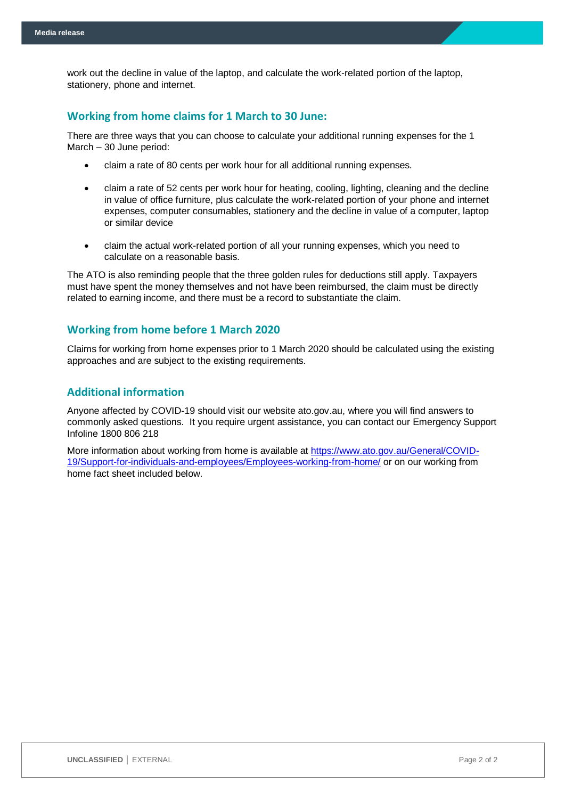work out the decline in value of the laptop, and calculate the work-related portion of the laptop, stationery, phone and internet.

#### **Working from home claims for 1 March to 30 June:**

There are three ways that you can choose to calculate your additional running expenses for the 1 March – 30 June period:

- claim a rate of 80 cents per work hour for all additional running expenses.
- claim a rate of 52 cents per work hour for heating, cooling, lighting, cleaning and the decline in value of office furniture, plus calculate the work-related portion of your phone and internet expenses, computer consumables, stationery and the decline in value of a computer, laptop or similar device
- claim the actual work-related portion of all your running expenses, which you need to calculate on a reasonable basis.

The ATO is also reminding people that the three golden rules for deductions still apply. Taxpayers must have spent the money themselves and not have been reimbursed, the claim must be directly related to earning income, and there must be a record to substantiate the claim.

#### **Working from home before 1 March 2020**

Claims for working from home expenses prior to 1 March 2020 should be calculated using the existing approaches and are subject to the existing requirements.

#### **Additional information**

Anyone affected by COVID-19 should visit our website ato.gov.au, where you will find answers to commonly asked questions. It you require urgent assistance, you can contact our Emergency Support Infoline 1800 806 218

More information about working from home is available at [https://www.ato.gov.au/General/COVID-](https://www.ato.gov.au/General/COVID-19/Support-for-individuals-and-employees/Employees-working-from-home/)[19/Support-for-individuals-and-employees/Employees-working-from-home/](https://www.ato.gov.au/General/COVID-19/Support-for-individuals-and-employees/Employees-working-from-home/) or on our working from home fact sheet included below.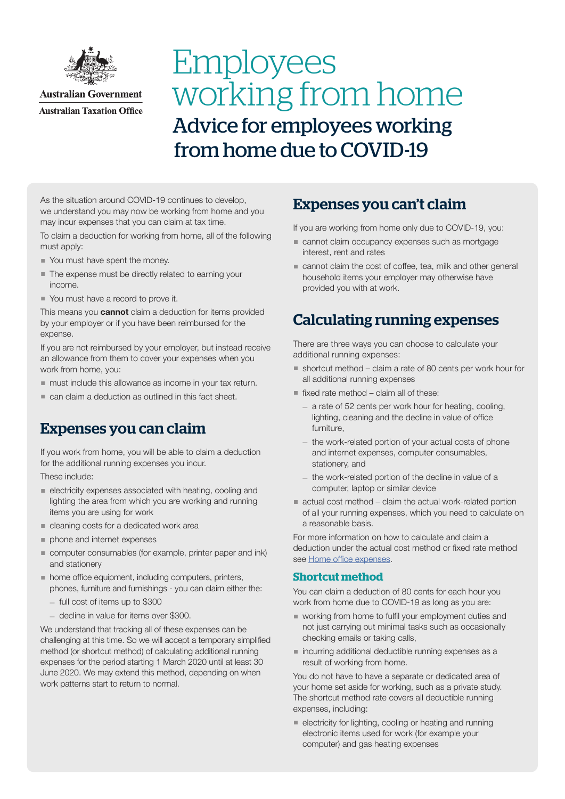

**Australian Government Australian Taxation Office** 

## **Employees** working from home Advice for employees working from home due to COVID-19

As the situation around COVID-19 continues to develop, we understand you may now be working from home and you may incur expenses that you can claim at tax time.

To claim a deduction for working from home, all of the following must apply:

- You must have spent the money.
- The expense must be directly related to earning your income.
- You must have a record to prove it.

This means you **cannot** claim a deduction for items provided by your employer or if you have been reimbursed for the expense.

If you are not reimbursed by your employer, but instead receive an allowance from them to cover your expenses when you work from home, you:

- must include this allowance as income in your tax return.
- can claim a deduction as outlined in this fact sheet.

### Expenses you can claim

If you work from home, you will be able to claim a deduction for the additional running expenses you incur.

These include:

- electricity expenses associated with heating, cooling and lighting the area from which you are working and running items you are using for work
- cleaning costs for a dedicated work area
- phone and internet expenses
- computer consumables (for example, printer paper and ink) and stationery
- **home office equipment, including computers, printers,** phones, furniture and furnishings - you can claim either the:
	- full cost of items up to \$300
	- decline in value for items over \$300.

We understand that tracking all of these expenses can be challenging at this time. So we will accept a temporary simplified method (or shortcut method) of calculating additional running expenses for the period starting 1 March 2020 until at least 30 June 2020. We may extend this method, depending on when work patterns start to return to normal.

#### Expenses you can't claim

If you are working from home only due to COVID-19, you:

- cannot claim occupancy expenses such as mortgage interest, rent and rates
- cannot claim the cost of coffee, tea, milk and other general household items your employer may otherwise have provided you with at work.

### Calculating running expenses

There are three ways you can choose to calculate your additional running expenses:

- shortcut method claim a rate of 80 cents per work hour for all additional running expenses
- fixed rate method claim all of these:
	- a rate of 52 cents per work hour for heating, cooling, lighting, cleaning and the decline in value of office furniture,
	- the work-related portion of your actual costs of phone and internet expenses, computer consumables, stationery, and
	- the work-related portion of the decline in value of a computer, laptop or similar device
- actual cost method claim the actual work-related portion of all your running expenses, which you need to calculate on a reasonable basis.

For more information on how to calculate and claim a deduction under the actual cost method or fixed rate method see [Home office expenses](https://www.ato.gov.au/Individuals/Income-and-deductions/Deductions-you-can-claim/Home-office-expenses/).

#### **Shortcut method**

You can claim a deduction of 80 cents for each hour you work from home due to COVID-19 as long as you are:

- working from home to fulfil your employment duties and not just carrying out minimal tasks such as occasionally checking emails or taking calls,
- incurring additional deductible running expenses as a result of working from home.

You do not have to have a separate or dedicated area of your home set aside for working, such as a private study. The shortcut method rate covers all deductible running expenses, including:

 electricity for lighting, cooling or heating and running electronic items used for work (for example your computer) and gas heating expenses